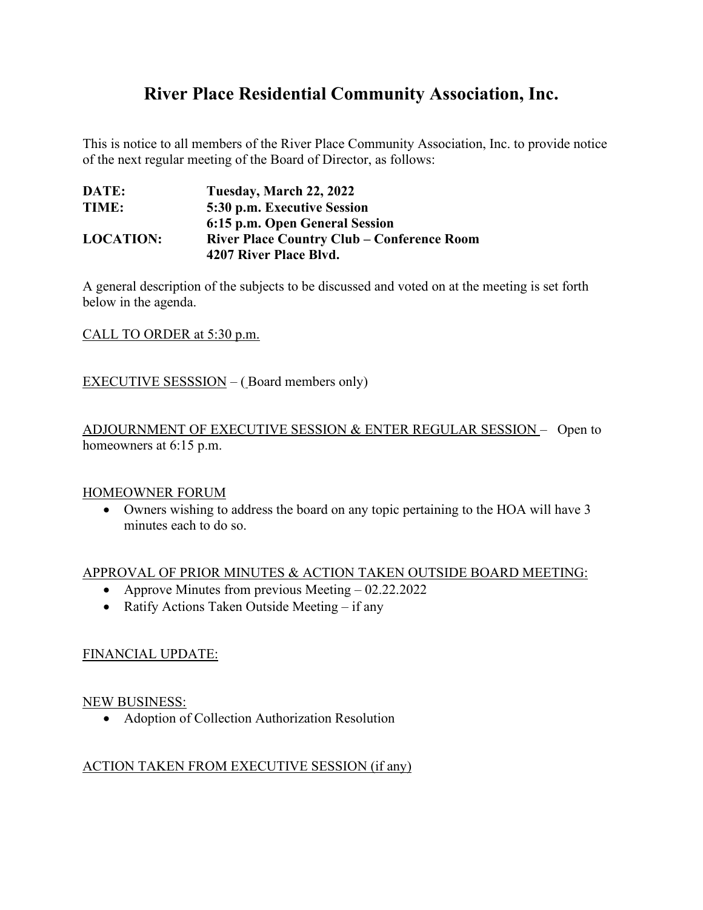# **River Place Residential Community Association, Inc.**

This is notice to all members of the River Place Community Association, Inc. to provide notice of the next regular meeting of the Board of Director, as follows:

| DATE:            | Tuesday, March 22, 2022                           |
|------------------|---------------------------------------------------|
| TIME:            | 5:30 p.m. Executive Session                       |
|                  | 6:15 p.m. Open General Session                    |
| <b>LOCATION:</b> | <b>River Place Country Club – Conference Room</b> |
|                  | 4207 River Place Blvd.                            |

A general description of the subjects to be discussed and voted on at the meeting is set forth below in the agenda.

CALL TO ORDER at 5:30 p.m.

EXECUTIVE SESSSION – ( Board members only)

ADJOURNMENT OF EXECUTIVE SESSION & ENTER REGULAR SESSION – Open to homeowners at 6:15 p.m.

#### HOMEOWNER FORUM

• Owners wishing to address the board on any topic pertaining to the HOA will have 3 minutes each to do so.

#### APPROVAL OF PRIOR MINUTES & ACTION TAKEN OUTSIDE BOARD MEETING:

- Approve Minutes from previous Meeting 02.22.2022
- Ratify Actions Taken Outside Meeting if any

#### FINANCIAL UPDATE:

#### NEW BUSINESS:

• Adoption of Collection Authorization Resolution

#### ACTION TAKEN FROM EXECUTIVE SESSION (if any)